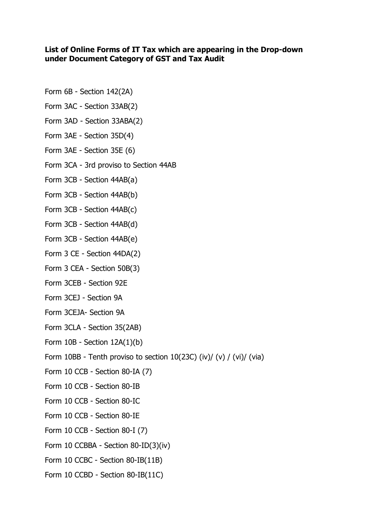## **List of Online Forms of IT Tax which are appearing in the Drop-down under Document Category of GST and Tax Audit**

- Form 6B Section 142(2A)
- Form 3AC Section 33AB(2)
- Form 3AD Section 33ABA(2)
- Form 3AE Section 35D(4)
- Form 3AE Section 35E (6)
- Form 3CA 3rd proviso to Section 44AB
- Form 3CB Section 44AB(a)
- Form 3CB Section 44AB(b)
- Form 3CB Section 44AB(c)
- Form 3CB Section 44AB(d)
- Form 3CB Section 44AB(e)
- Form 3 CE Section 44DA(2)
- Form 3 CEA Section 50B(3)
- Form 3CEB Section 92E
- Form 3CEJ Section 9A
- Form 3CEJA- Section 9A
- Form 3CLA Section 35(2AB)
- Form 10B Section 12A(1)(b)
- Form 10BB Tenth proviso to section  $10(23C)$  (iv)/ (v) / (vi)/ (via)
- Form 10 CCB Section 80-IA (7)
- Form 10 CCB Section 80-IB
- Form 10 CCB Section 80-IC
- Form 10 CCB Section 80-IE
- Form 10 CCB Section 80-I (7)
- Form 10 CCBBA Section 80-ID(3)(iv)
- Form 10 CCBC Section 80-IB(11B)
- Form 10 CCBD Section 80-IB(11C)